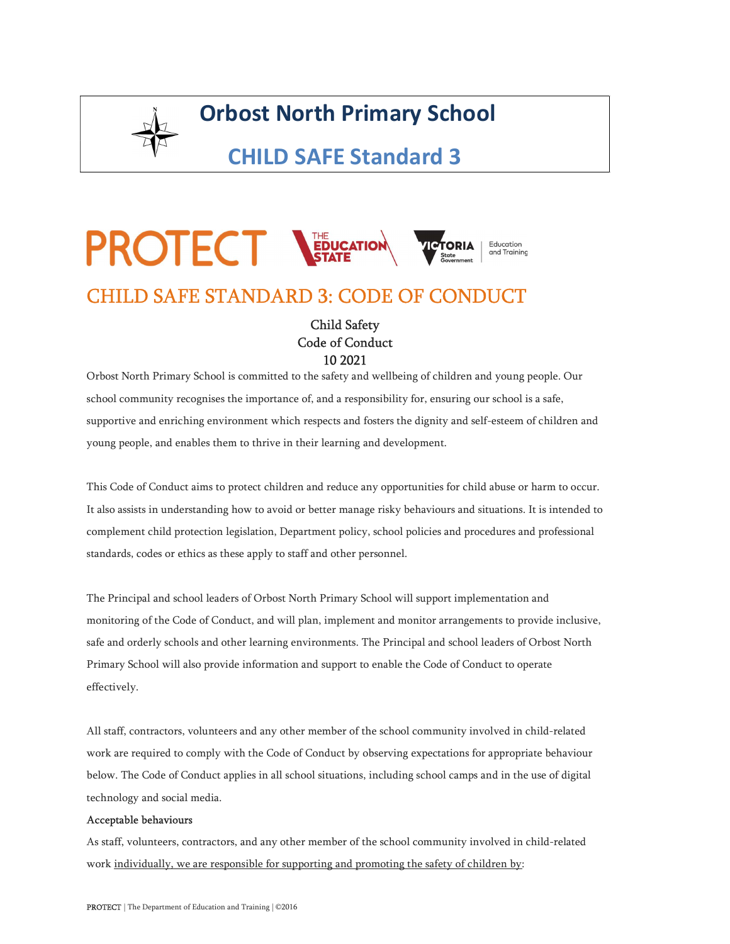

## Orbost North Primary School

CHILD SAFE Standard 3

# **PROTECT STATE**<br>CHILD SAFE STANDARD 3: CODE OF CONDUCT **TCTORIA**

### Child Safety Code of Conduct 10 2021

Orbost North Primary School is committed to the safety and wellbeing of children and young people. Our school community recognises the importance of, and a responsibility for, ensuring our school is a safe, supportive and enriching environment which respects and fosters the dignity and self-esteem of children and young people, and enables them to thrive in their learning and development.

This Code of Conduct aims to protect children and reduce any opportunities for child abuse or harm to occur. It also assists in understanding how to avoid or better manage risky behaviours and situations. It is intended to complement child protection legislation, Department policy, school policies and procedures and professional standards, codes or ethics as these apply to staff and other personnel.

The Principal and school leaders of Orbost North Primary School will support implementation and monitoring of the Code of Conduct, and will plan, implement and monitor arrangements to provide inclusive, safe and orderly schools and other learning environments. The Principal and school leaders of Orbost North Primary School will also provide information and support to enable the Code of Conduct to operate effectively.

All staff, contractors, volunteers and any other member of the school community involved in child-related work are required to comply with the Code of Conduct by observing expectations for appropriate behaviour below. The Code of Conduct applies in all school situations, including school camps and in the use of digital technology and social media.

#### Acceptable behaviours

As staff, volunteers, contractors, and any other member of the school community involved in child-related work individually, we are responsible for supporting and promoting the safety of children by: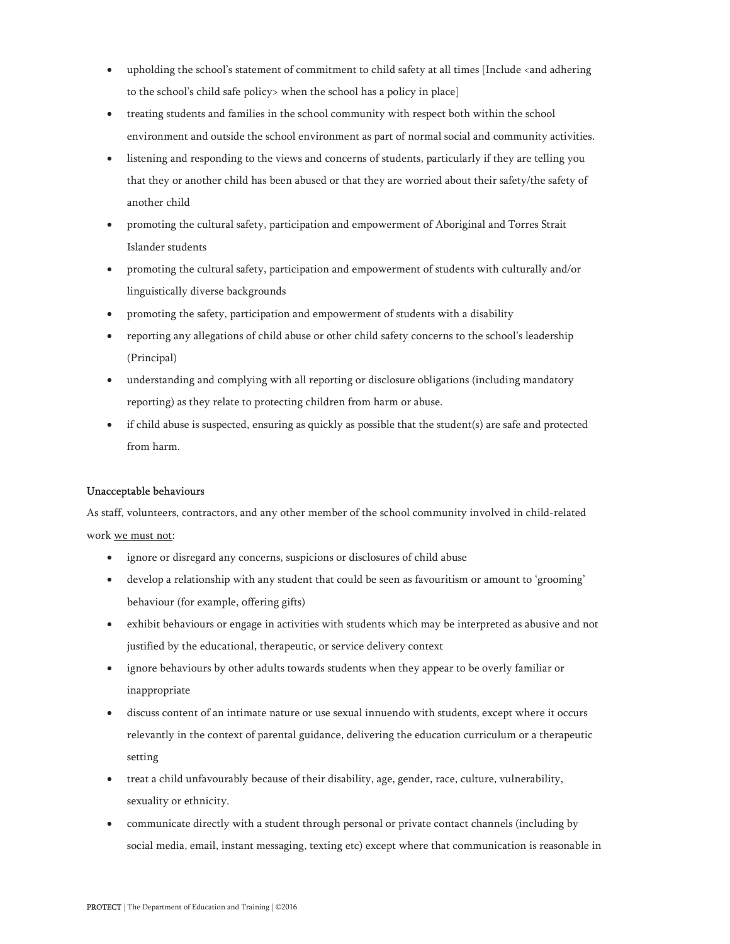- upholding the school's statement of commitment to child safety at all times [Include <and adhering to the school's child safe policy> when the school has a policy in place]
- treating students and families in the school community with respect both within the school environment and outside the school environment as part of normal social and community activities.
- listening and responding to the views and concerns of students, particularly if they are telling you that they or another child has been abused or that they are worried about their safety/the safety of another child
- promoting the cultural safety, participation and empowerment of Aboriginal and Torres Strait Islander students
- promoting the cultural safety, participation and empowerment of students with culturally and/or linguistically diverse backgrounds
- promoting the safety, participation and empowerment of students with a disability
- reporting any allegations of child abuse or other child safety concerns to the school's leadership (Principal)
- understanding and complying with all reporting or disclosure obligations (including mandatory reporting) as they relate to protecting children from harm or abuse.
- if child abuse is suspected, ensuring as quickly as possible that the student(s) are safe and protected from harm.

#### Unacceptable behaviours

As staff, volunteers, contractors, and any other member of the school community involved in child-related work we must not:

- ignore or disregard any concerns, suspicions or disclosures of child abuse
- develop a relationship with any student that could be seen as favouritism or amount to 'grooming' behaviour (for example, offering gifts)
- exhibit behaviours or engage in activities with students which may be interpreted as abusive and not justified by the educational, therapeutic, or service delivery context
- ignore behaviours by other adults towards students when they appear to be overly familiar or inappropriate
- discuss content of an intimate nature or use sexual innuendo with students, except where it occurs relevantly in the context of parental guidance, delivering the education curriculum or a therapeutic setting
- treat a child unfavourably because of their disability, age, gender, race, culture, vulnerability, sexuality or ethnicity.
- communicate directly with a student through personal or private contact channels (including by social media, email, instant messaging, texting etc) except where that communication is reasonable in